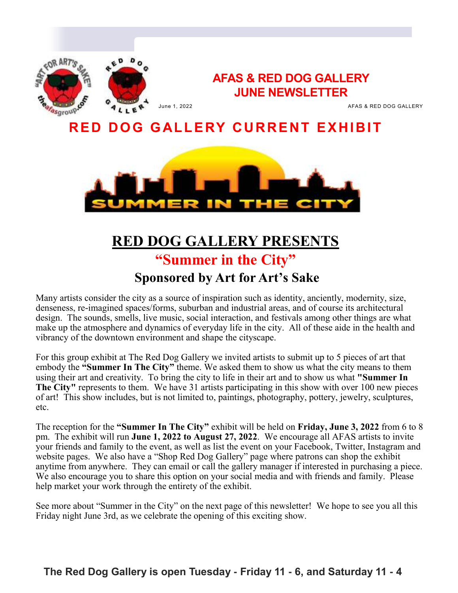

### **AFAS & RED DOG GALLERY JUNE NEWSLETTER**

June 1, 2022 AFAS & RED DOG GALLERY

## **RED DOG GALLERY CURRENT EXHIBIT**



## **RED DOG GALLERY PRESENTS "Summer in the City"**

## **Sponsored by Art for Art's Sake**

Many artists consider the city as a source of inspiration such as identity, anciently, modernity, size, denseness, re-imagined spaces/forms, suburban and industrial areas, and of course its architectural design. The sounds, smells, live music, social interaction, and festivals among other things are what make up the atmosphere and dynamics of everyday life in the city. All of these aide in the health and vibrancy of the downtown environment and shape the cityscape.

For this group exhibit at The Red Dog Gallery we invited artists to submit up to 5 pieces of art that embody the **"Summer In The City"** theme. We asked them to show us what the city means to them using their art and creativity. To bring the city to life in their art and to show us what **"Summer In The City"** represents to them. We have 31 artists participating in this show with over 100 new pieces of art! This show includes, but is not limited to, paintings, photography, pottery, jewelry, sculptures, etc.

The reception for the **"Summer In The City"** exhibit will be held on **Friday, June 3, 2022** from 6 to 8 pm. The exhibit will run **June 1, 2022 to August 27, 2022**. We encourage all AFAS artists to invite your friends and family to the event, as well as list the event on your Facebook, Twitter, Instagram and website pages. We also have a "Shop Red Dog Gallery" page where patrons can shop the exhibit anytime from anywhere. They can email or call the gallery manager if interested in purchasing a piece. We also encourage you to share this option on your social media and with friends and family. Please help market your work through the entirety of the exhibit.

See more about "Summer in the City" on the next page of this newsletter! We hope to see you all this Friday night June 3rd, as we celebrate the opening of this exciting show.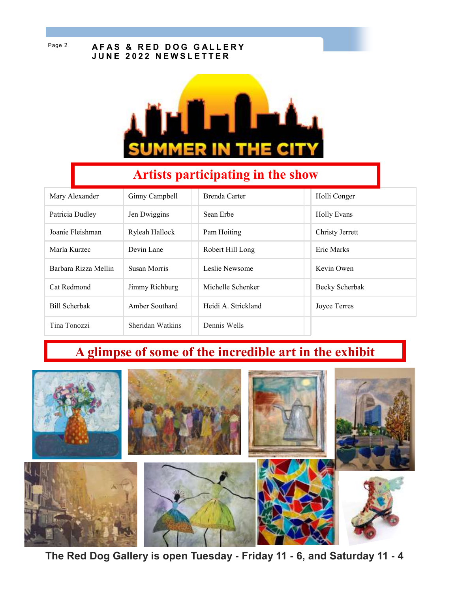#### Page 2 **AFAS & RED DOG GALLERY J U N E 2 0 2 2 N E W S L E T T E R**



## **Artists participating in the show**

| Mary Alexander       | Ginny Campbell   | Brenda Carter       | Holli Conger       |
|----------------------|------------------|---------------------|--------------------|
| Patricia Dudley      | Jen Dwiggins     | Sean Erbe           | <b>Holly Evans</b> |
| Joanie Fleishman     | Ryleah Hallock   | Pam Hoiting         | Christy Jerrett    |
| Marla Kurzec         | Devin Lane       | Robert Hill Long    | Eric Marks         |
| Barbara Rizza Mellin | Susan Morris     | Leslie Newsome      | Kevin Owen         |
| Cat Redmond          | Jimmy Richburg   | Michelle Schenker   | Becky Scherbak     |
| <b>Bill Scherbak</b> | Amber Southard   | Heidi A. Strickland | Joyce Terres       |
| Tina Tonozzi         | Sheridan Watkins | Dennis Wells        |                    |

## **A glimpse of some of the incredible art in the exhibit**



 **The Red Dog Gallery is open Tuesday - Friday 11 - 6, and Saturday 11 - 4**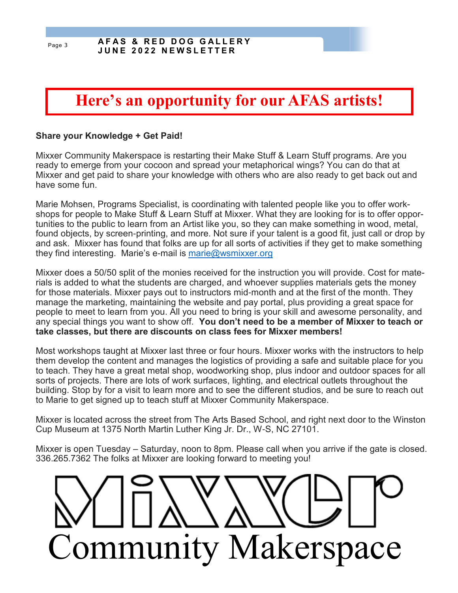# **Here's an opportunity for our AFAS artists!**

#### **Share your Knowledge + Get Paid!**

Mixxer Community Makerspace is restarting their Make Stuff & Learn Stuff programs. Are you ready to emerge from your cocoon and spread your metaphorical wings? You can do that at Mixxer and get paid to share your knowledge with others who are also ready to get back out and have some fun.

Marie Mohsen, Programs Specialist, is coordinating with talented people like you to offer workshops for people to Make Stuff & Learn Stuff at Mixxer. What they are looking for is to offer opportunities to the public to learn from an Artist like you, so they can make something in wood, metal, found objects, by screen-printing, and more. Not sure if your talent is a good fit, just call or drop by and ask. Mixxer has found that folks are up for all sorts of activities if they get to make something they find interesting. Marie's e-mail is [marie@wsmixxer.org](mailto:marie@wsmixxer.org)

Mixxer does a 50/50 split of the monies received for the instruction you will provide. Cost for materials is added to what the students are charged, and whoever supplies materials gets the money for those materials. Mixxer pays out to instructors mid-month and at the first of the month. They manage the marketing, maintaining the website and pay portal, plus providing a great space for people to meet to learn from you. All you need to bring is your skill and awesome personality, and any special things you want to show off. **You don't need to be a member of Mixxer to teach or take classes, but there are discounts on class fees for Mixxer members!**

Most workshops taught at Mixxer last three or four hours. Mixxer works with the instructors to help them develop the content and manages the logistics of providing a safe and suitable place for you to teach. They have a great metal shop, woodworking shop, plus indoor and outdoor spaces for all sorts of projects. There are lots of work surfaces, lighting, and electrical outlets throughout the building. Stop by for a visit to learn more and to see the different studios, and be sure to reach out to Marie to get signed up to teach stuff at Mixxer Community Makerspace.

Mixxer is located across the street from The Arts Based School, and right next door to the Winston Cup Museum at 1375 North Martin Luther King Jr. Dr., W-S, NC 27101.

Mixxer is open Tuesday – Saturday, noon to 8pm. Please call when you arrive if the gate is closed. 336.265.7362 The folks at Mixxer are looking forward to meeting you!

ommunity Makerspace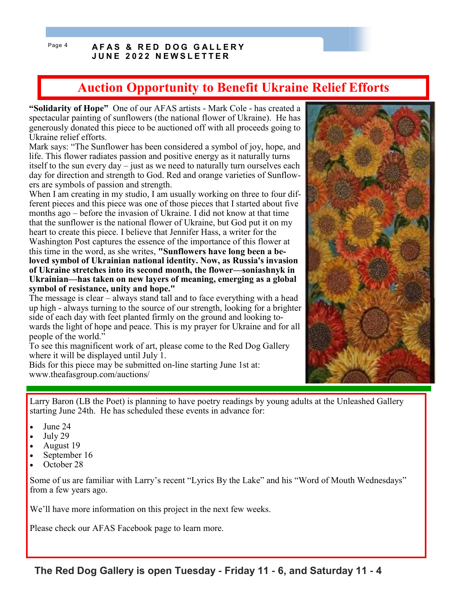#### Page 4 **AFAS & RED DOG GALLERY J U N E 2 0 2 2 N E W S L E T T E R**

## **Auction Opportunity to Benefit Ukraine Relief Efforts**

**"Solidarity of Hope"** One of our AFAS artists - Mark Cole - has created a spectacular painting of sunflowers (the national flower of Ukraine). He has generously donated this piece to be auctioned off with all proceeds going to Ukraine relief efforts.

Mark says: "The Sunflower has been considered a symbol of joy, hope, and life. This flower radiates passion and positive energy as it naturally turns itself to the sun every day – just as we need to naturally turn ourselves each day for direction and strength to God. Red and orange varieties of Sunflowers are symbols of passion and strength.

When I am creating in my studio, I am usually working on three to four different pieces and this piece was one of those pieces that I started about five months ago – before the invasion of Ukraine. I did not know at that time that the sunflower is the national flower of Ukraine, but God put it on my heart to create this piece. I believe that Jennifer Hass, a writer for the Washington Post captures the essence of the importance of this flower at this time in the word, as she writes, **"Sunflowers have long been a beloved symbol of Ukrainian national identity. Now, as Russia's invasion of Ukraine stretches into its second month, the flower—soniashnyk in Ukrainian—has taken on new layers of meaning, emerging as a global symbol of resistance, unity and hope."**

The message is clear – always stand tall and to face everything with a head up high - always turning to the source of our strength, looking for a brighter side of each day with feet planted firmly on the ground and looking towards the light of hope and peace. This is my prayer for Ukraine and for all people of the world."

To see this magnificent work of art, please come to the Red Dog Gallery where it will be displayed until July 1.

Bids for this piece may be submitted on-line starting June 1st at: www.theafasgroup.com/auctions/

Larry Baron (LB the Poet) is planning to have poetry readings by young adults at the Unleashed Gallery starting June 24th. He has scheduled these events in advance for:

- June 24
- July 29
- August 19
- September 16
- October 28

Some of us are familiar with Larry's recent "Lyrics By the Lake" and his "Word of Mouth Wednesdays" from a few years ago.

We'll have more information on this project in the next few weeks.

Please check our AFAS Facebook page to learn more.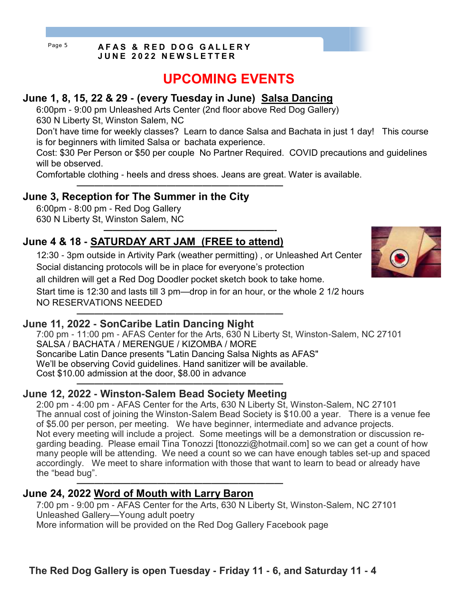#### Page 5 **AFAS & RED DOG GALLERY J U N E 2 0 2 2 N E W S L E T T E R**

## **UPCOMING EVENTS**

### **June 1, 8, 15, 22 & 29 - (every Tuesday in June) Salsa Dancing**

**———————————————————————**

**———————————————————-**

6:00pm - 9:00 pm Unleashed Arts Center (2nd floor above Red Dog Gallery) 630 N Liberty St, Winston Salem, NC

Don't have time for weekly classes? Learn to dance Salsa and Bachata in just 1 day! This course is for beginners with limited Salsa or bachata experience.

Cost: \$30 Per Person or \$50 per couple No Partner Required. COVID precautions and guidelines will be observed.

Comfortable clothing - heels and dress shoes. Jeans are great. Water is available.

### **June 3, Reception for The Summer in the City**

6:00pm - 8:00 pm - Red Dog Gallery 630 N Liberty St, Winston Salem, NC

### **June 4 & 18 - SATURDAY ART JAM (FREE to attend)**

12:30 - 3pm outside in Artivity Park (weather permitting) , or Unleashed Art Center Social distancing protocols will be in place for everyone's protection all children will get a Red Dog Doodler pocket sketch book to take home. Start time is 12:30 and lasts till 3 pm—drop in for an hour, or the whole 2 1/2 hours NO RESERVATIONS NEEDED

#### **——————————————————————— June 11, 2022 - SonCaribe Latin Dancing Night**

7:00 pm - 11:00 pm - AFAS Center for the Arts, 630 N Liberty St, Winston-Salem, NC 27101 SALSA / BACHATA / MERENGUE / KIZOMBA / MORE Soncaribe Latin Dance presents "Latin Dancing Salsa Nights as AFAS" We'll be observing Covid guidelines. Hand sanitizer will be available. Cost \$10.00 admission at the door, \$8.00 in advance **———————————————————————**

### **June 12, 2022 - Winston-Salem Bead Society Meeting**

2:00 pm - 4:00 pm - AFAS Center for the Arts, 630 N Liberty St, Winston-Salem, NC 27101 The annual cost of joining the Winston-Salem Bead Society is \$10.00 a year. There is a venue fee of \$5.00 per person, per meeting. We have beginner, intermediate and advance projects. Not every meeting will include a project. Some meetings will be a demonstration or discussion regarding beading. Please email Tina Tonozzi [ttonozzi@hotmail.com] so we can get a count of how many people will be attending. We need a count so we can have enough tables set-up and spaced accordingly. We meet to share information with those that want to learn to bead or already have the "bead bug". **———————————————————————**

### **June 24, 2022 Word of Mouth with Larry Baron**

7:00 pm - 9:00 pm - AFAS Center for the Arts, 630 N Liberty St, Winston-Salem, NC 27101 Unleashed Gallery—Young adult poetry More information will be provided on the Red Dog Gallery Facebook page

**The Red Dog Gallery is open Tuesday - Friday 11 - 6, and Saturday 11 - 4**